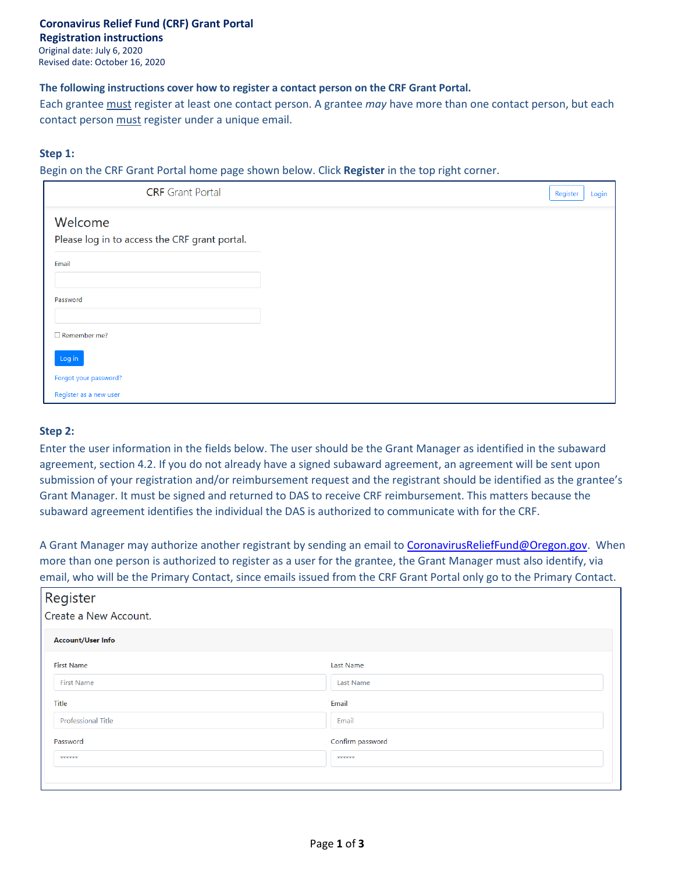#### **The following instructions cover how to register a contact person on the CRF Grant Portal.**

Each grantee must register at least one contact person. A grantee *may* have more than one contact person, but each contact person must register under a unique email.

#### **Step 1:**

Begin on the CRF Grant Portal home page shown below. Click **Register** in the top right corner.

| <b>CRF</b> Grant Portal                                  | Register | Login |
|----------------------------------------------------------|----------|-------|
| Welcome<br>Please log in to access the CRF grant portal. |          |       |
| Email                                                    |          |       |
| Password                                                 |          |       |
| $\Box$ Remember me?                                      |          |       |
| Log in                                                   |          |       |
| Forgot your password?                                    |          |       |
| Register as a new user                                   |          |       |

#### **Step 2:**

Enter the user information in the fields below. The user should be the Grant Manager as identified in the subaward agreement, section 4.2. If you do not already have a signed subaward agreement, an agreement will be sent upon submission of your registration and/or reimbursement request and the registrant should be identified as the grantee's Grant Manager. It must be signed and returned to DAS to receive CRF reimbursement. This matters because the subaward agreement identifies the individual the DAS is authorized to communicate with for the CRF.

A Grant Manager may authorize another registrant by sending an email to [CoronavirusReliefFund@Oregon.gov.](mailto:CoronavirusReliefFund@Oregon.gov) When more than one person is authorized to register as a user for the grantee, the Grant Manager must also identify, via email, who will be the Primary Contact, since emails issued from the CRF Grant Portal only go to the Primary Contact.

| Register<br>Create a New Account. |                  |  |  |  |  |
|-----------------------------------|------------------|--|--|--|--|
| <b>Account/User Info</b>          |                  |  |  |  |  |
| <b>First Name</b>                 | <b>Last Name</b> |  |  |  |  |
| <b>First Name</b>                 | <b>Last Name</b> |  |  |  |  |
| Title                             | Email            |  |  |  |  |
| <b>Professional Title</b>         | Email            |  |  |  |  |
| Password                          | Confirm password |  |  |  |  |
| ******                            | ******           |  |  |  |  |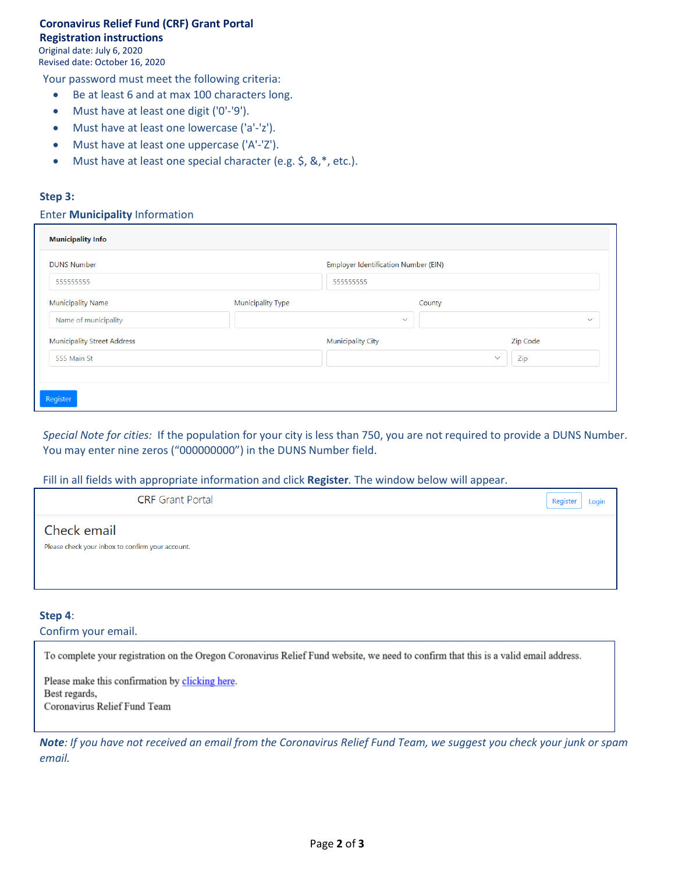# **Coronavirus Relief Fund (CRF) Grant Portal**

### **Registration instructions**

Original date: July 6, 2020 Revised date: October 16, 2020

Your password must meet the following criteria:

- Be at least 6 and at max 100 characters long.
- Must have at least one digit ('0'-'9').
- Must have at least one lowercase ('a'-'z').
- Must have at least one uppercase ('A'-'Z').
- Must have at least one special character (e.g. \$, &,\*, etc.).

#### **Step 3:**

#### Enter **Municipality** Information

| <b>Municipality Info</b>           |                          |                                             |              |              |  |
|------------------------------------|--------------------------|---------------------------------------------|--------------|--------------|--|
| <b>DUNS Number</b>                 |                          | <b>Employer Identification Number (EIN)</b> |              |              |  |
| 555555555                          |                          | 555555555                                   |              |              |  |
| <b>Municipality Name</b>           | <b>Municipality Type</b> |                                             | County       |              |  |
| Name of municipality               |                          | $\checkmark$                                |              | $\checkmark$ |  |
| <b>Municipality Street Address</b> |                          | <b>Municipality City</b>                    |              | Zip Code     |  |
| 555 Main St                        |                          |                                             | $\checkmark$ | Zip          |  |
|                                    |                          |                                             |              |              |  |
| Register                           |                          |                                             |              |              |  |

*Special Note for cities:* If the population for your city is less than 750, you are not required to provide a DUNS Number. You may enter nine zeros ("000000000") in the DUNS Number field.

#### Fill in all fields with appropriate information and click **Register***.* The window below will appear.

|                                                                 | <b>CRF</b> Grant Portal | Register<br>Login |
|-----------------------------------------------------------------|-------------------------|-------------------|
| Check email<br>Please check your inbox to confirm your account. |                         |                   |

#### **Step 4**:

Confirm your email.

To complete your registration on the Oregon Coronavirus Relief Fund website, we need to confirm that this is a valid email address.

Please make this confirmation by clicking here. Best regards, Coronavirus Relief Fund Team

*Note: If you have not received an email from the Coronavirus Relief Fund Team, we suggest you check your junk or spam email.*